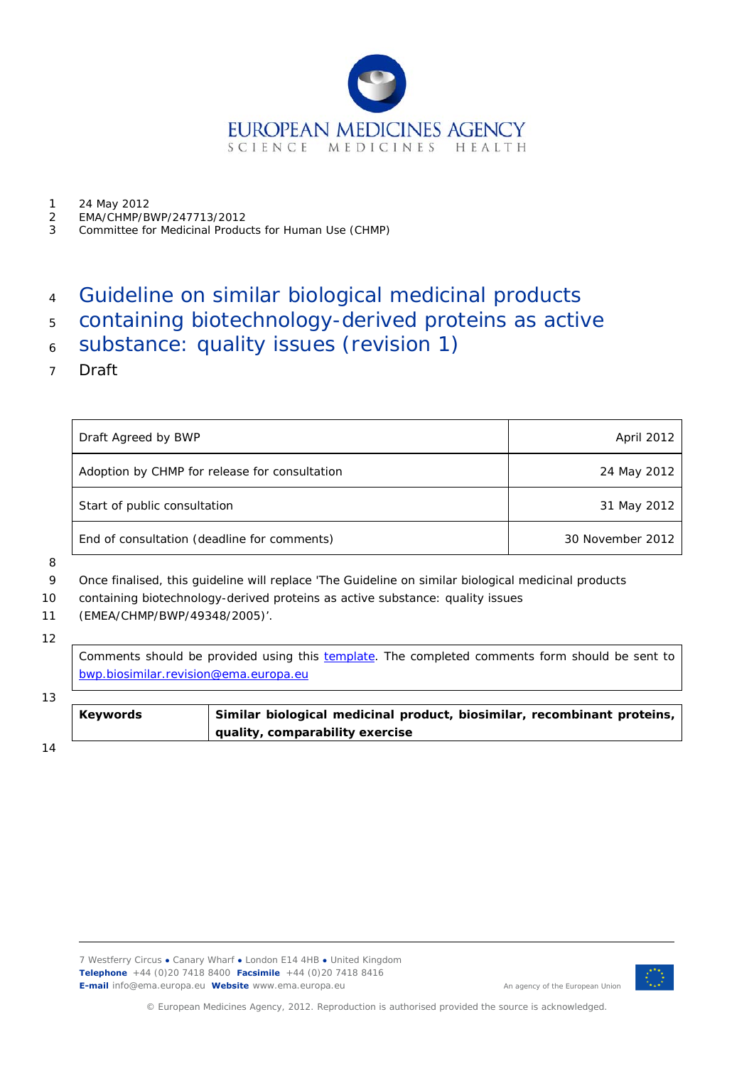

- 1 24 May 2012
- 2 EMA/CHMP/BWP/247713/2012
- 3 Committee for Medicinal Products for Human Use (CHMP)

#### 4 Guideline on similar biological medicinal products

- 5 containing biotechnology-derived proteins as active
- 6 substance: quality issues (revision 1)
- 7 Draft

| Draft Agreed by BWP                           | April 2012       |
|-----------------------------------------------|------------------|
| Adoption by CHMP for release for consultation | 24 May 2012      |
| Start of public consultation                  | 31 May 2012      |
| End of consultation (deadline for comments)   | 30 November 2012 |

#### 8

9 Once finalised, this guideline will replace 'The Guideline on similar biological medicinal products

- 11 (EMEA/CHMP/BWP/49348/2005)'.
- 12

Comments should be provided using this [template](http://www.ema.europa.eu/docs/en_GB/document_library/Template_or_form/2009/10/WC500004016.doc). The completed comments form should be sent to [bwp.biosimilar.revision@ema.europa.eu](mailto:bwp.biosimilar.revision@ema.europa.eu)

#### 13

| <b>Keywords</b> | Similar biological medicinal product, biosimilar, recombinant proteins, |
|-----------------|-------------------------------------------------------------------------|
|                 | quality, comparability exercise                                         |

14



© European Medicines Agency, 2012. Reproduction is authorised provided the source is acknowledged.

<sup>10</sup>  containing biotechnology-derived proteins as active substance: quality issues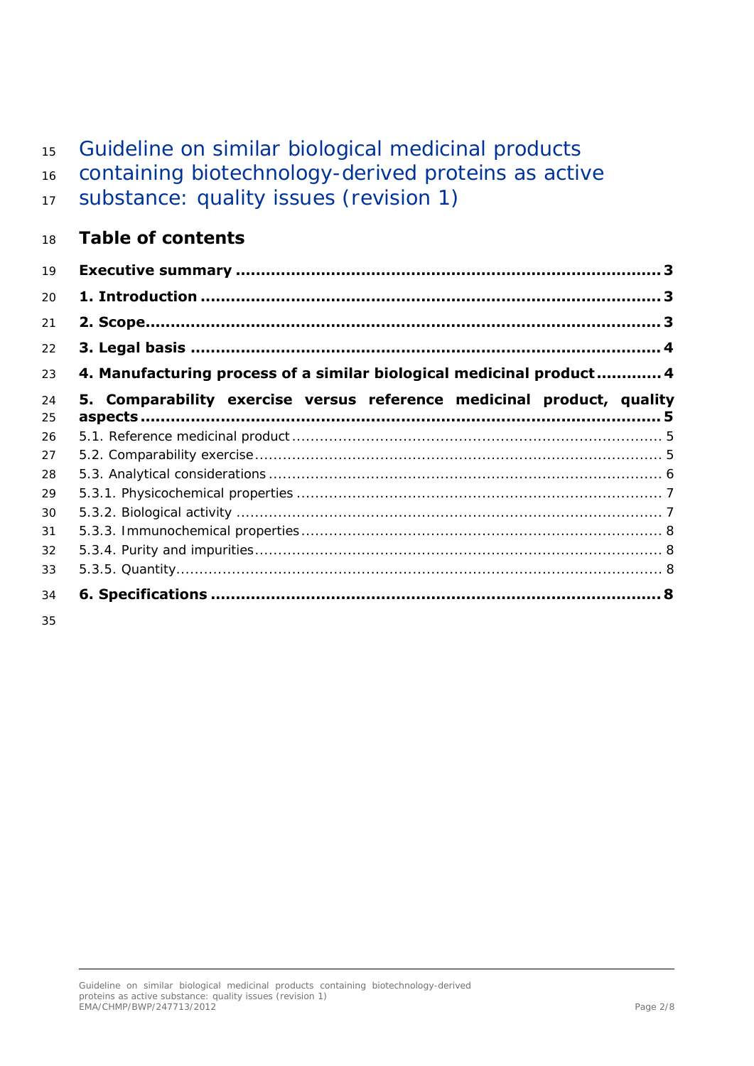#### 15 Guideline on similar biological medicinal products

16 containing biotechnology-derived proteins as active

| 17 Substance: quality issues (revision 1) |  |  |
|-------------------------------------------|--|--|
|                                           |  |  |

#### 18 **Table of contents**

| 19 |                                                                       |
|----|-----------------------------------------------------------------------|
| 20 |                                                                       |
| 21 |                                                                       |
| 22 |                                                                       |
| 23 | 4. Manufacturing process of a similar biological medicinal product 4  |
| 24 | 5. Comparability exercise versus reference medicinal product, quality |
| 25 |                                                                       |
| 26 |                                                                       |
| 27 |                                                                       |
| 28 |                                                                       |
| 29 |                                                                       |
| 30 |                                                                       |
| 31 |                                                                       |
| 32 |                                                                       |
| 33 |                                                                       |
| 34 |                                                                       |

35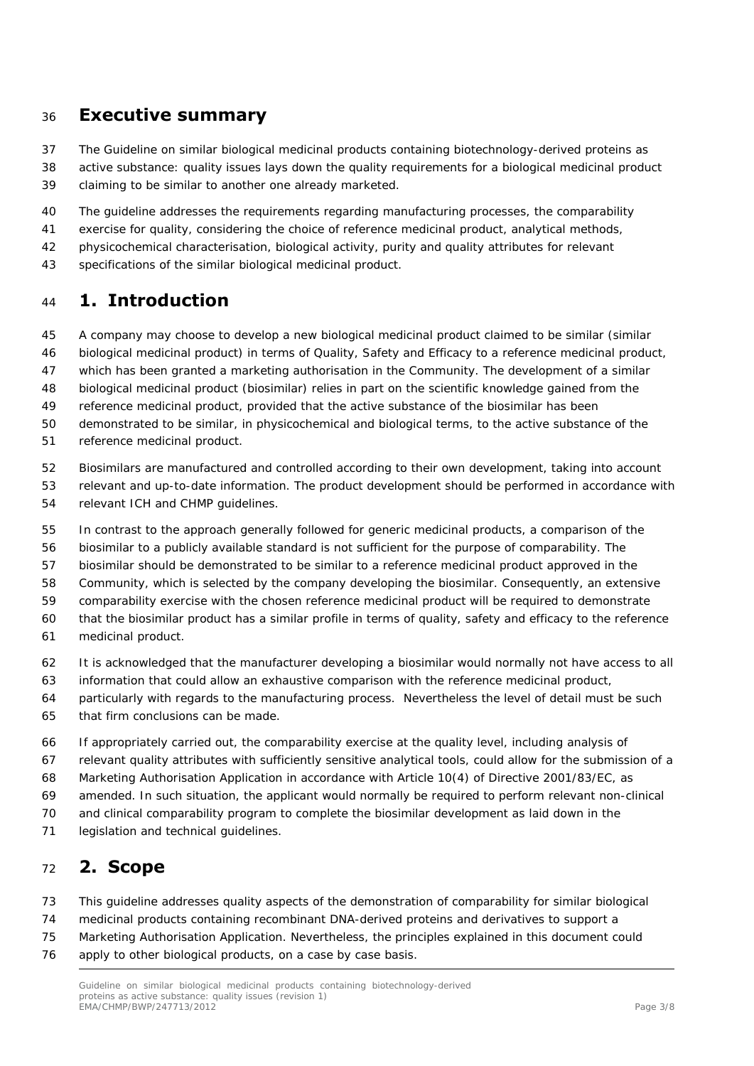#### <span id="page-2-0"></span>36 **Executive summary**

37 38 39 The Guideline on similar biological medicinal products containing biotechnology-derived proteins as active substance: quality issues lays down the quality requirements for a biological medicinal product claiming to be similar to another one already marketed.

- 40 The guideline addresses the requirements regarding manufacturing processes, the comparability
- 41 exercise for quality, considering the choice of reference medicinal product, analytical methods,
- 42 physicochemical characterisation, biological activity, purity and quality attributes for relevant
- 43 specifications of the similar biological medicinal product.

# <span id="page-2-1"></span><sup>44</sup>**1. Introduction**

- 45 A company may choose to develop a new biological medicinal product claimed to be similar (similar
- 46 biological medicinal product) in terms of Quality, Safety and Efficacy to a reference medicinal product,
- 47 which has been granted a marketing authorisation in the Community. The development of a similar
- 48 biological medicinal product (biosimilar) relies in part on the scientific knowledge gained from the
- 49 reference medicinal product, provided that the active substance of the biosimilar has been
- 50 demonstrated to be similar, in physicochemical and biological terms, to the active substance of the
- 51 reference medicinal product.
- 52 Biosimilars are manufactured and controlled according to their own development, taking into account
- 53 54 relevant and up-to-date information. The product development should be performed in accordance with relevant ICH and CHMP guidelines.
- 55 In contrast to the approach generally followed for generic medicinal products, a comparison of the
- 56 biosimilar to a publicly available standard is not sufficient for the purpose of comparability. The
- 57 biosimilar should be demonstrated to be similar to a reference medicinal product approved in the
- 58 Community, which is selected by the company developing the biosimilar. Consequently, an extensive
- 59 comparability exercise with the chosen reference medicinal product will be required to demonstrate
- 60 that the biosimilar product has a similar profile in terms of quality, safety and efficacy to the reference
- 61 medicinal product.
- 62 It is acknowledged that the manufacturer developing a biosimilar would normally not have access to all
- 63 information that could allow an exhaustive comparison with the reference medicinal product,
- 64 65 particularly with regards to the manufacturing process. Nevertheless the level of detail must be such that firm conclusions can be made.
- 66 If appropriately carried out, the comparability exercise at the quality level, including analysis of
- 67 relevant quality attributes with sufficiently sensitive analytical tools, could allow for the submission of a
- 68 Marketing Authorisation Application in accordance with Article 10(4) of Directive 2001/83/EC, as
- 69 amended. In such situation, the applicant would normally be required to perform relevant non-clinical
- 70 and clinical comparability program to complete the biosimilar development as laid down in the
- 71 legislation and technical guidelines.

# <span id="page-2-2"></span><sup>72</sup>**2. Scope**

- 73 This guideline addresses quality aspects of the demonstration of comparability for similar biological
- 74 medicinal products containing recombinant DNA-derived proteins and derivatives to support a
- 75 Marketing Authorisation Application. Nevertheless, the principles explained in this document could
- 76 apply to other biological products, on a case by case basis.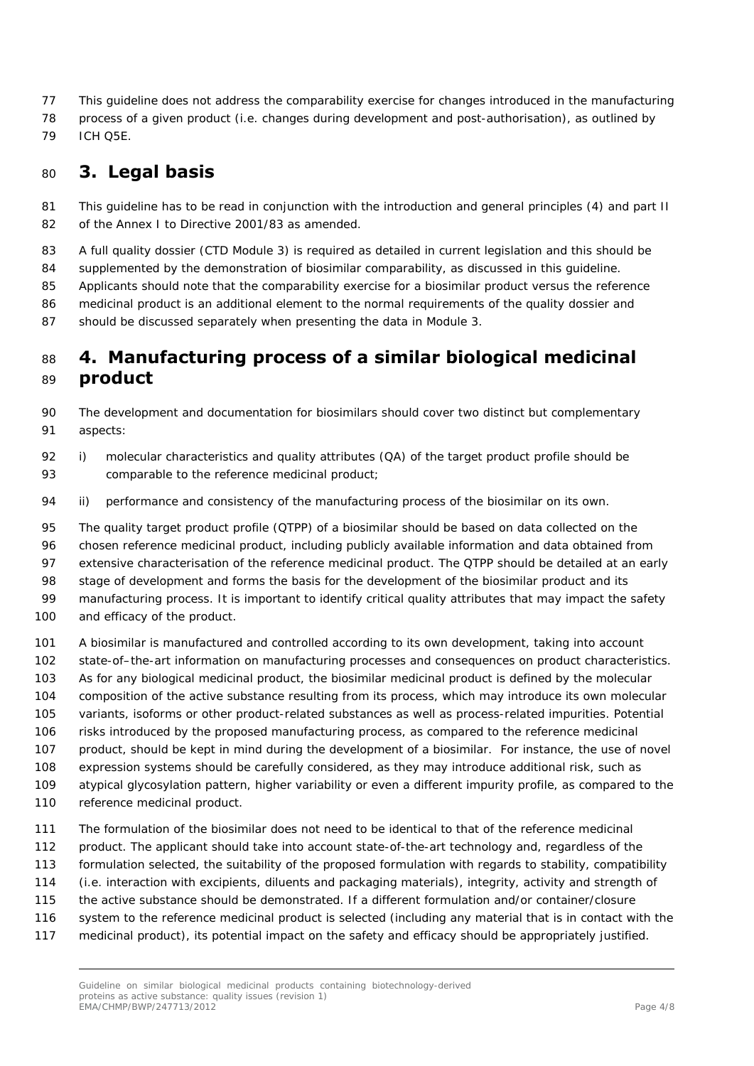- 77 This guideline does not address the comparability exercise for changes introduced in the manufacturing
- 78 process of a given product (i.e. changes during development and post-authorisation), as outlined by
- 79 ICH Q5E.

# <span id="page-3-0"></span><sup>80</sup>**3. Legal basis**

- 81 82 This guideline has to be read in conjunction with the introduction and general principles (4) and part II of the Annex I to Directive 2001/83 as amended.
- 83 A full quality dossier (CTD Module 3) is required as detailed in current legislation and this should be
- 84 supplemented by the demonstration of biosimilar comparability, as discussed in this guideline.
- 85 Applicants should note that the comparability exercise for a biosimilar product versus the reference
- 86 medicinal product is an additional element to the normal requirements of the quality dossier and
- 87 should be discussed separately when presenting the data in Module 3.

## <span id="page-3-1"></span><sup>88</sup>**4. Manufacturing process of a similar biological medicinal**  <sup>89</sup>**product**

- 90 91 The development and documentation for biosimilars should cover two distinct but complementary aspects:
- 93 92 i) molecular characteristics and quality attributes (QA) of the target product profile should be comparable to the reference medicinal product;
- 94 ii) performance and consistency of the manufacturing process of the biosimilar on its own.
- 95 The quality target product profile (QTPP) of a biosimilar should be based on data collected on the
- 96 chosen reference medicinal product, including publicly available information and data obtained from
- 97 98 extensive characterisation of the reference medicinal product. The QTPP should be detailed at an early stage of development and forms the basis for the development of the biosimilar product and its
- 99 manufacturing process. It is important to identify critical quality attributes that may impact the safety
- 100 and efficacy of the product.
- 101 A biosimilar is manufactured and controlled according to its own development, taking into account
- 102 state-of–the-art information on manufacturing processes and consequences on product characteristics.
- 103 As for any biological medicinal product, the biosimilar medicinal product is defined by the molecular
- 104 composition of the active substance resulting from its process, which may introduce its own molecular
- 105 variants, isoforms or other product-related substances as well as process-related impurities. Potential
- 106 risks introduced by the proposed manufacturing process, as compared to the reference medicinal
- 107 product, should be kept in mind during the development of a biosimilar. For instance, the use of novel
- 108 expression systems should be carefully considered, as they may introduce additional risk, such as
- 109 atypical glycosylation pattern, higher variability or even a different impurity profile, as compared to the
- 110 reference medicinal product.
- 111 The formulation of the biosimilar does not need to be identical to that of the reference medicinal
- 112 product. The applicant should take into account state-of-the-art technology and, regardless of the
- 113 formulation selected, the suitability of the proposed formulation with regards to stability, compatibility
- 114 (i.e. interaction with excipients, diluents and packaging materials), integrity, activity and strength of
- 115 the active substance should be demonstrated. If a different formulation and/or container/closure
- 116 system to the reference medicinal product is selected (including any material that is in contact with the
- 117 medicinal product), its potential impact on the safety and efficacy should be appropriately justified.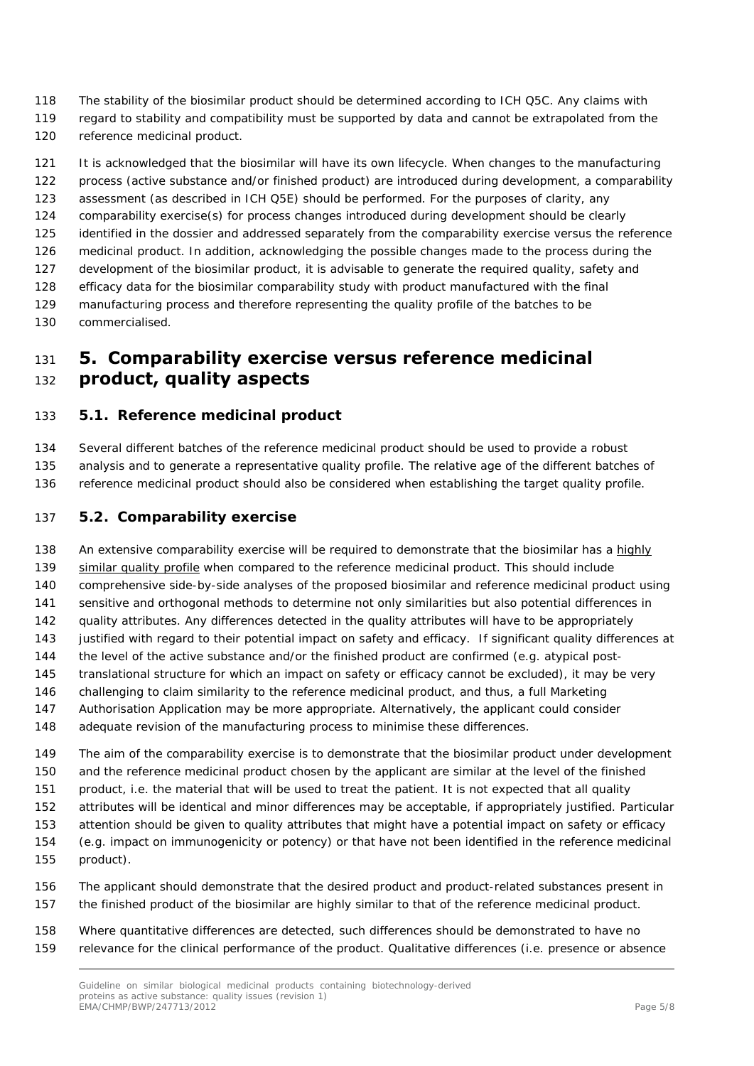- 118 The stability of the biosimilar product should be determined according to ICH Q5C. Any claims with
- 119 regard to stability and compatibility must be supported by data and cannot be extrapolated from the
- 120 reference medicinal product.

121 122 It is acknowledged that the biosimilar will have its own lifecycle. When changes to the manufacturing process (active substance and/or finished product) are introduced during development, a comparability

- 123 assessment (as described in ICH Q5E) should be performed. For the purposes of clarity, any
- 124 comparability exercise(s) for process changes introduced during development should be clearly
- 125 identified in the dossier and addressed separately from the comparability exercise versus the reference
- 126 medicinal product. In addition, acknowledging the possible changes made to the process during the
- 127 development of the biosimilar product, it is advisable to generate the required quality, safety and
- 128 efficacy data for the biosimilar comparability study with product manufactured with the final
- 129 130 manufacturing process and therefore representing the quality profile of the batches to be commercialised.

# <span id="page-4-0"></span><sup>131</sup>**5. Comparability exercise versus reference medicinal**  <sup>132</sup>**product, quality aspects**

### <span id="page-4-1"></span>133 *5.1. Reference medicinal product*

134 135 136 Several different batches of the reference medicinal product should be used to provide a robust analysis and to generate a representative quality profile. The relative age of the different batches of reference medicinal product should also be considered when establishing the target quality profile.

### <span id="page-4-2"></span>137 *5.2. Comparability exercise*

138 An extensive comparability exercise will be required to demonstrate that the biosimilar has a highly similar quality profile when compared to the reference medicinal product. This should include comprehensive side-by-side analyses of the proposed biosimilar and reference medicinal product using sensitive and orthogonal methods to determine not only similarities but also potential differences in quality attributes. Any differences detected in the quality attributes will have to be appropriately justified with regard to their potential impact on safety and efficacy. If significant quality differences at the level of the active substance and/or the finished product are confirmed (e.g. atypical posttranslational structure for which an impact on safety or efficacy cannot be excluded), it may be very challenging to claim similarity to the reference medicinal product, and thus, a full Marketing Authorisation Application may be more appropriate. Alternatively, the applicant could consider adequate revision of the manufacturing process to minimise these differences. 139 140 141 142 143 144 145 146 147 148 149 150 The aim of the comparability exercise is to demonstrate that the biosimilar product under development and the reference medicinal product chosen by the applicant are similar at the level of the finished

- 151 product, i.e. the material that will be used to treat the patient. It is not expected that all quality
- 152 153 attributes will be identical and minor differences may be acceptable, if appropriately justified. Particular attention should be given to quality attributes that might have a potential impact on safety or efficacy
- 154 (e.g. impact on immunogenicity or potency) or that have not been identified in the reference medicinal
- 155 product).
- 156 The applicant should demonstrate that the desired product and product-related substances present in
- 157 the finished product of the biosimilar are highly similar to that of the reference medicinal product.
- 158 159 Where quantitative differences are detected, such differences should be demonstrated to have no relevance for the clinical performance of the product. Qualitative differences (i.e. presence or absence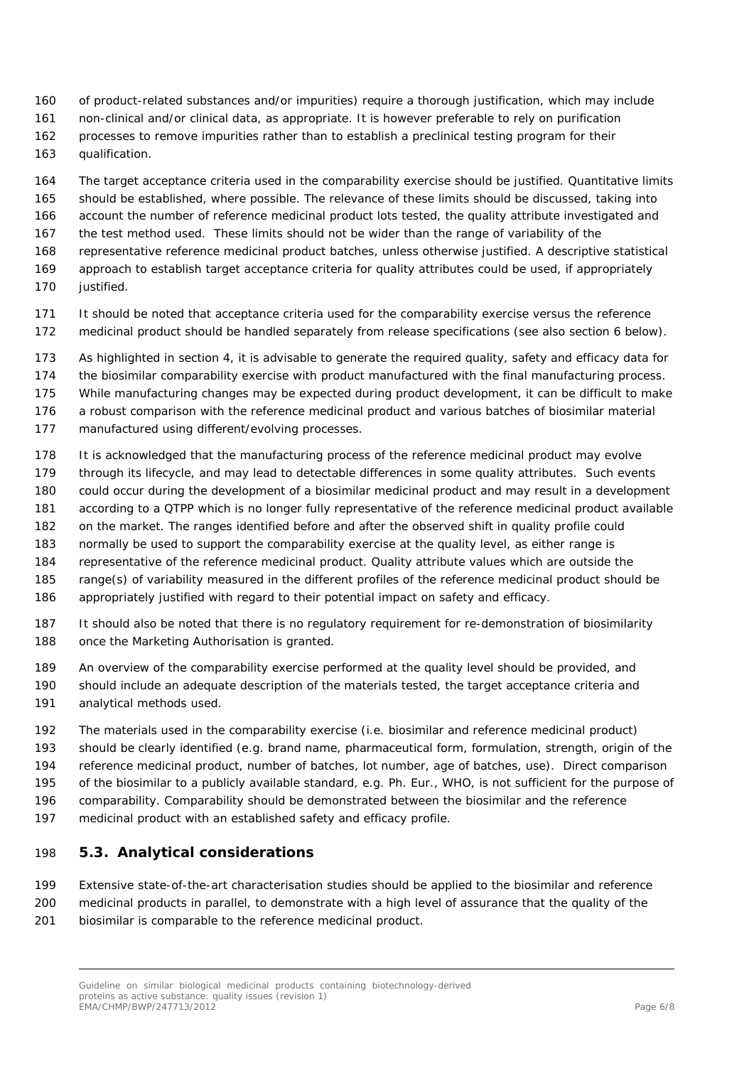- 160 of product-related substances and/or impurities) require a thorough justification, which may include
- 161 non-clinical and/or clinical data, as appropriate. It is however preferable to rely on purification
- 162 processes to remove impurities rather than to establish a preclinical testing program for their
- 163 qualification.

164 The target acceptance criteria used in the comparability exercise should be justified. Quantitative limits

- 165 166 should be established, where possible. The relevance of these limits should be discussed, taking into account the number of reference medicinal product lots tested, the quality attribute investigated and
- 167 the test method used. These limits should not be wider than the range of variability of the
- 168 representative reference medicinal product batches, unless otherwise justified. A descriptive statistical
- 169 170 approach to establish target acceptance criteria for quality attributes could be used, if appropriately justified.
- 171 172 It should be noted that acceptance criteria used for the comparability exercise versus the reference medicinal product should be handled separately from release specifications (see also section 6 below).
- 173 As highlighted in section 4, it is advisable to generate the required quality, safety and efficacy data for
- 174 the biosimilar comparability exercise with product manufactured with the final manufacturing process.
- 175 While manufacturing changes may be expected during product development, it can be difficult to make
- 176 a robust comparison with the reference medicinal product and various batches of biosimilar material
- 177 manufactured using different/evolving processes.
- 178 It is acknowledged that the manufacturing process of the reference medicinal product may evolve
- 179 through its lifecycle, and may lead to detectable differences in some quality attributes. Such events
- 180 could occur during the development of a biosimilar medicinal product and may result in a development
- 181 according to a QTPP which is no longer fully representative of the reference medicinal product available
- 182 on the market. The ranges identified before and after the observed shift in quality profile could
- 183 normally be used to support the comparability exercise at the quality level, as either range is
- 184 representative of the reference medicinal product. Quality attribute values which are outside the
- 185 range(s) of variability measured in the different profiles of the reference medicinal product should be
- 186 appropriately justified with regard to their potential impact on safety and efficacy.
- 187 188 It should also be noted that there is no regulatory requirement for re-demonstration of biosimilarity once the Marketing Authorisation is granted.
- 189 An overview of the comparability exercise performed at the quality level should be provided, and
- 190 191 should include an adequate description of the materials tested, the target acceptance criteria and analytical methods used.
- 192 The materials used in the comparability exercise (i.e. biosimilar and reference medicinal product)
- 193 should be clearly identified (e.g. brand name, pharmaceutical form, formulation, strength, origin of the
- 194 reference medicinal product, number of batches, lot number, age of batches, use). Direct comparison
- 195 of the biosimilar to a publicly available standard, e.g. Ph. Eur., WHO, is not sufficient for the purpose of
- 196 comparability. Comparability should be demonstrated between the biosimilar and the reference
- 197 medicinal product with an established safety and efficacy profile.

### <span id="page-5-0"></span>198 *5.3. Analytical considerations*

199 200 201 Extensive state-of-the-art characterisation studies should be applied to the biosimilar and reference medicinal products in parallel, to demonstrate with a high level of assurance that the quality of the biosimilar is comparable to the reference medicinal product.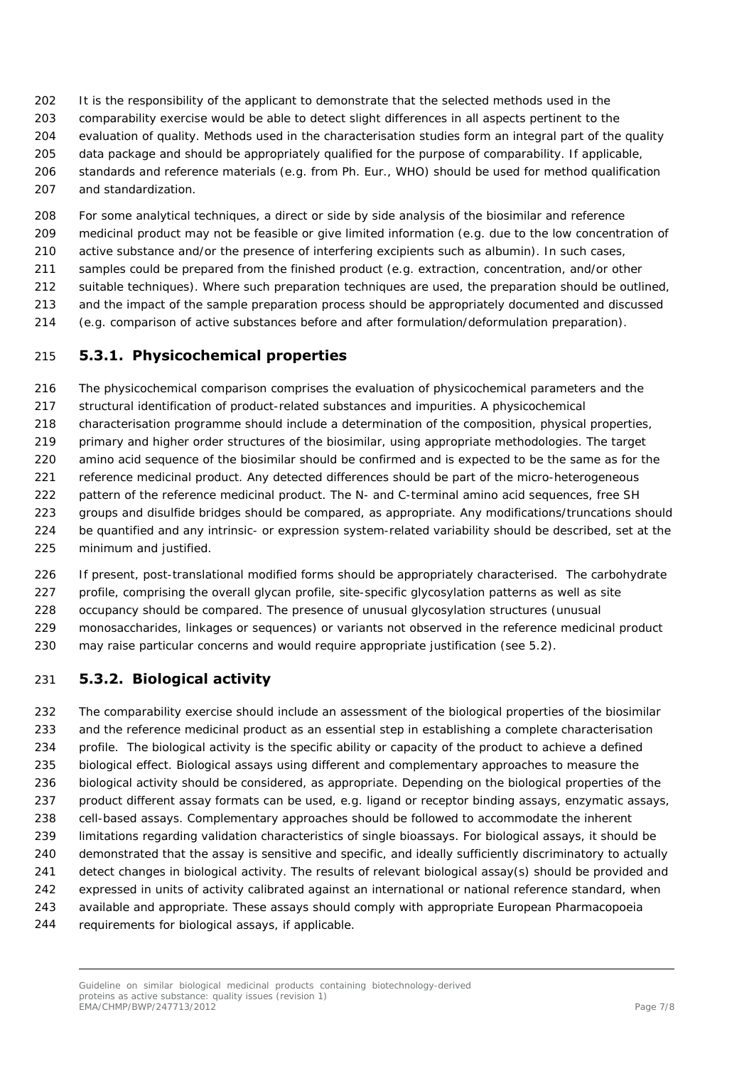- 202 It is the responsibility of the applicant to demonstrate that the selected methods used in the
- 203 comparability exercise would be able to detect slight differences in all aspects pertinent to the
- 204 evaluation of quality. Methods used in the characterisation studies form an integral part of the quality
- 205 data package and should be appropriately qualified for the purpose of comparability. If applicable,
- 206 207 standards and reference materials (e.g. from Ph. Eur., WHO) should be used for method qualification and standardization.
- 208 209 For some analytical techniques, a direct or side by side analysis of the biosimilar and reference medicinal product may not be feasible or give limited information (e.g. due to the low concentration of
- 210 active substance and/or the presence of interfering excipients such as albumin). In such cases,
- 211 samples could be prepared from the finished product (e.g. extraction, concentration, and/or other
- 212 suitable techniques). Where such preparation techniques are used, the preparation should be outlined,
- 213 and the impact of the sample preparation process should be appropriately documented and discussed
- 214 (e.g. comparison of active substances before and after formulation/deformulation preparation).

## <span id="page-6-0"></span>215 **5.3.1. Physicochemical properties**

216 217 218 219 220 221 222 223 224 225 The physicochemical comparison comprises the evaluation of physicochemical parameters and the structural identification of product-related substances and impurities. A physicochemical characterisation programme should include a determination of the composition, physical properties, primary and higher order structures of the biosimilar, using appropriate methodologies. The target amino acid sequence of the biosimilar should be confirmed and is expected to be the same as for the reference medicinal product. Any detected differences should be part of the micro-heterogeneous pattern of the reference medicinal product. The N- and C-terminal amino acid sequences, free SH groups and disulfide bridges should be compared, as appropriate. Any modifications/truncations should be quantified and any intrinsic- or expression system-related variability should be described, set at the minimum and justified.

226 227 228 229 230 If present, post-translational modified forms should be appropriately characterised. The carbohydrate profile, comprising the overall glycan profile, site-specific glycosylation patterns as well as site occupancy should be compared. The presence of unusual glycosylation structures (unusual monosaccharides, linkages or sequences) or variants not observed in the reference medicinal product may raise particular concerns and would require appropriate justification (see 5.2).

## <span id="page-6-1"></span>231 **5.3.2. Biological activity**

232 233 234 235 236 237 238 239 240 241 242 243 244 The comparability exercise should include an assessment of the biological properties of the biosimilar and the reference medicinal product as an essential step in establishing a complete characterisation profile. The biological activity is the specific ability or capacity of the product to achieve a defined biological effect. Biological assays using different and complementary approaches to measure the biological activity should be considered, as appropriate. Depending on the biological properties of the product different assay formats can be used, e.g. ligand or receptor binding assays, enzymatic assays, cell-based assays. Complementary approaches should be followed to accommodate the inherent limitations regarding validation characteristics of single bioassays. For biological assays, it should be demonstrated that the assay is sensitive and specific, and ideally sufficiently discriminatory to actually detect changes in biological activity. The results of relevant biological assay(s) should be provided and expressed in units of activity calibrated against an international or national reference standard, when available and appropriate. These assays should comply with appropriate European Pharmacopoeia requirements for biological assays, if applicable.